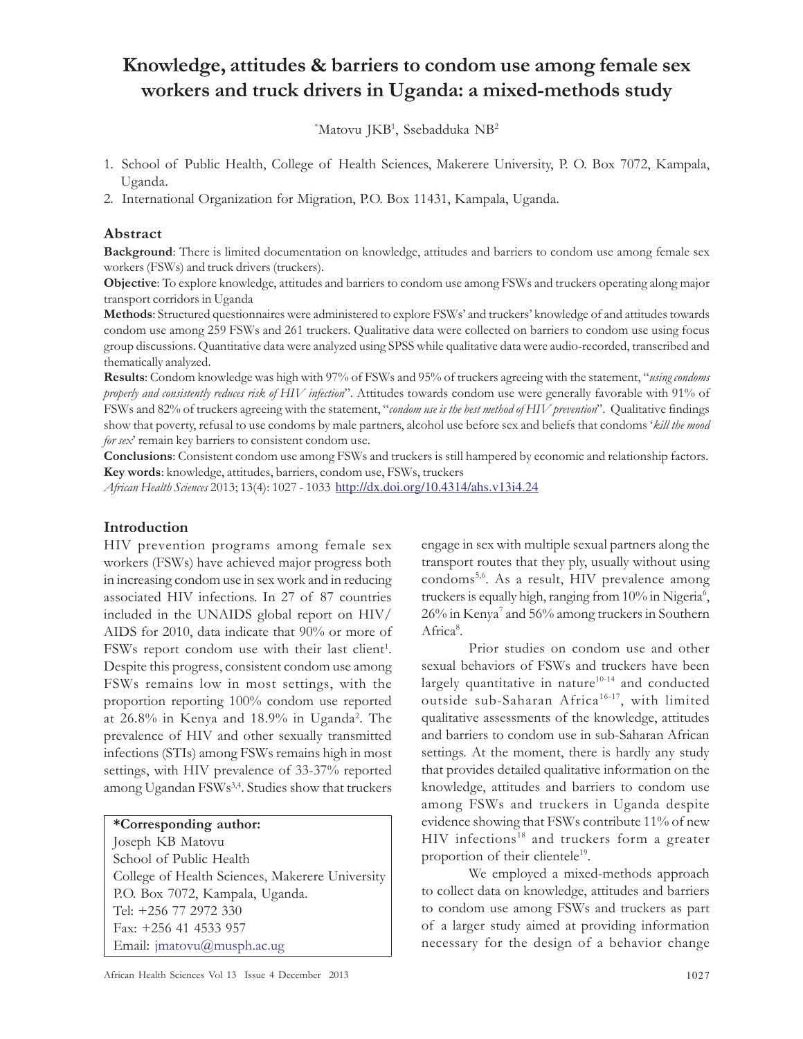# Knowledge, attitudes & barriers to condom use among female sex workers and truck drivers in Uganda: a mixed-methods study

 $^*$ Matovu JKB<sup>1</sup>, Ssebadduka NB<sup>2</sup>

- 1. School of Public Health, College of Health Sciences, Makerere University, P. O. Box 7072, Kampala, Uganda.
- 2. International Organization for Migration, P.O. Box 11431, Kampala, Uganda.

## Abstract

Background: There is limited documentation on knowledge, attitudes and barriers to condom use among female sex workers (FSWs) and truck drivers (truckers).

Objective: To explore knowledge, attitudes and barriers to condom use among FSWs and truckers operating along major transport corridors in Uganda

Methods: Structured questionnaires were administered to explore FSWs' and truckers' knowledge of and attitudes towards condom use among 259 FSWs and 261 truckers. Qualitative data were collected on barriers to condom use using focus group discussions. Quantitative data were analyzed using SPSS while qualitative data were audio-recorded, transcribed and thematically analyzed.

Results: Condom knowledge was high with 97% of FSWs and 95% of truckers agreeing with the statement, "using condoms" properly and consistently reduces risk of HIV infection". Attitudes towards condom use were generally favorable with 91% of FSWs and 82% of truckers agreeing with the statement, "condom use is the best method of HIV prevention". Qualitative findings show that poverty, refusal to use condoms by male partners, alcohol use before sex and beliefs that condoms 'kill the mood for sex' remain key barriers to consistent condom use.

Conclusions: Consistent condom use among FSWs and truckers is still hampered by economic and relationship factors. Key words: knowledge, attitudes, barriers, condom use, FSWs, truckers

African Health Sciences 2013; 13(4): 1027 - 1033 http://dx.doi.org/10.4314/ahs.v13i4.24

#### Introduction

HIV prevention programs among female sex workers (FSWs) have achieved major progress both in increasing condom use in sex work and in reducing associated HIV infections. In 27 of 87 countries included in the UNAIDS global report on HIV/ AIDS for 2010, data indicate that 90% or more of FSWs report condom use with their last client<sup>1</sup>. Despite this progress, consistent condom use among FSWs remains low in most settings, with the proportion reporting 100% condom use reported at 26.8% in Kenya and 18.9% in Uganda<sup>2</sup> . The prevalence of HIV and other sexually transmitted infections (STIs) among FSWs remains high in most settings, with HIV prevalence of 33-37% reported among Ugandan FSWs<sup>3,4</sup>. Studies show that truckers

#### \*Corresponding author:

Joseph KB Matovu School of Public Health College of Health Sciences, Makerere University P.O. Box 7072, Kampala, Uganda. Tel: +256 77 2972 330 Fax: +256 41 4533 957 Email: jmatovu@musph.ac.ug

engage in sex with multiple sexual partners along the transport routes that they ply, usually without using condoms5,6. As a result, HIV prevalence among truckers is equally high, ranging from 10% in Nigeria<sup>6</sup>, 26% in Kenya<sup>7</sup> and 56% among truckers in Southern Africa<sup>8</sup>.

Prior studies on condom use and other sexual behaviors of FSWs and truckers have been largely quantitative in nature $10-14$  and conducted outside sub-Saharan Africa<sup>16-17</sup>, with limited qualitative assessments of the knowledge, attitudes and barriers to condom use in sub-Saharan African settings. At the moment, there is hardly any study that provides detailed qualitative information on the knowledge, attitudes and barriers to condom use among FSWs and truckers in Uganda despite evidence showing that FSWs contribute 11% of new HIV infections<sup>18</sup> and truckers form a greater proportion of their clientele<sup>19</sup>.

We employed a mixed-methods approach to collect data on knowledge, attitudes and barriers to condom use among FSWs and truckers as part of a larger study aimed at providing information necessary for the design of a behavior change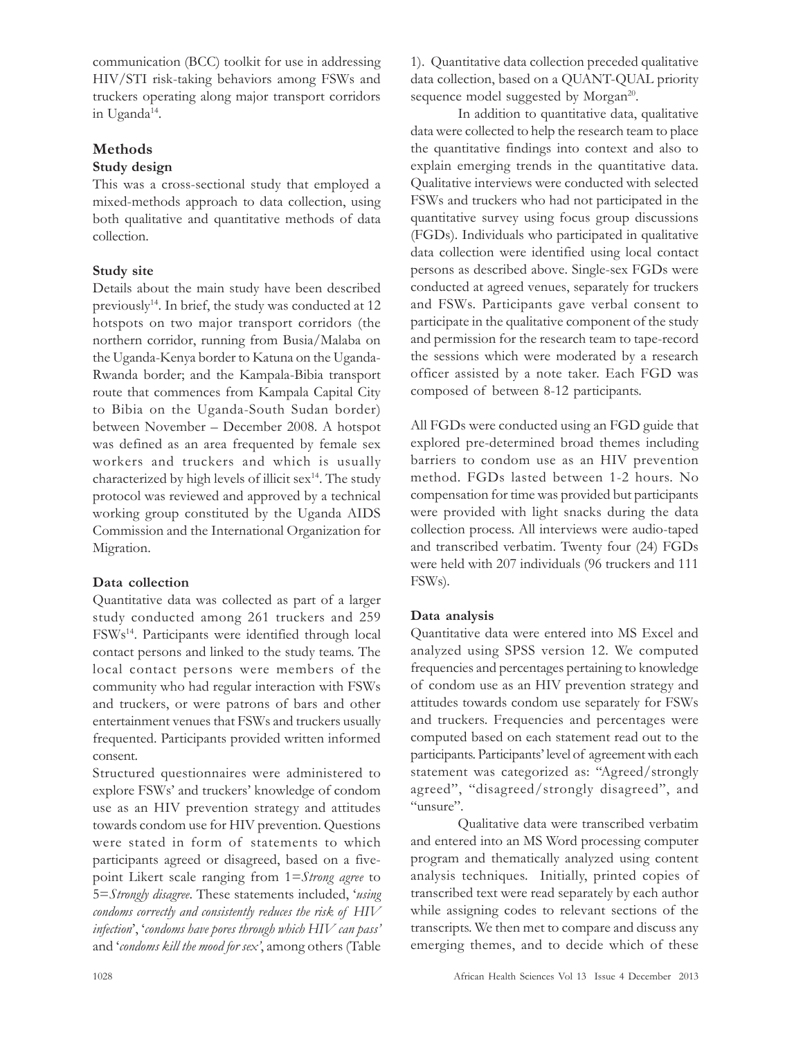communication (BCC) toolkit for use in addressing HIV/STI risk-taking behaviors among FSWs and truckers operating along major transport corridors in Uganda<sup>14</sup>.

# Methods

# Study design

This was a cross-sectional study that employed a mixed-methods approach to data collection, using both qualitative and quantitative methods of data collection.

# Study site

Details about the main study have been described previously<sup>14</sup>. In brief, the study was conducted at 12 hotspots on two major transport corridors (the northern corridor, running from Busia/Malaba on the Uganda-Kenya border to Katuna on the Uganda-Rwanda border; and the Kampala-Bibia transport route that commences from Kampala Capital City to Bibia on the Uganda-South Sudan border) between November – December 2008. A hotspot was defined as an area frequented by female sex workers and truckers and which is usually characterized by high levels of illicit sex<sup>14</sup>. The study protocol was reviewed and approved by a technical working group constituted by the Uganda AIDS Commission and the International Organization for Migration.

# Data collection

Quantitative data was collected as part of a larger study conducted among 261 truckers and 259 FSWs<sup>14</sup>. Participants were identified through local contact persons and linked to the study teams. The local contact persons were members of the community who had regular interaction with FSWs and truckers, or were patrons of bars and other entertainment venues that FSWs and truckers usually frequented. Participants provided written informed consent.

Structured questionnaires were administered to explore FSWs' and truckers' knowledge of condom use as an HIV prevention strategy and attitudes towards condom use for HIV prevention. Questions were stated in form of statements to which participants agreed or disagreed, based on a fivepoint Likert scale ranging from 1=Strong agree to 5=Strongly disagree. These statements included, 'using condoms correctly and consistently reduces the risk of HIV infection', 'condoms have pores through which HIV can pass' and 'condoms kill the mood for sex', among others (Table

1). Quantitative data collection preceded qualitative data collection, based on a QUANT-QUAL priority sequence model suggested by Morgan<sup>20</sup>.

In addition to quantitative data, qualitative data were collected to help the research team to place the quantitative findings into context and also to explain emerging trends in the quantitative data. Qualitative interviews were conducted with selected FSWs and truckers who had not participated in the quantitative survey using focus group discussions (FGDs). Individuals who participated in qualitative data collection were identified using local contact persons as described above. Single-sex FGDs were conducted at agreed venues, separately for truckers and FSWs. Participants gave verbal consent to participate in the qualitative component of the study and permission for the research team to tape-record the sessions which were moderated by a research officer assisted by a note taker. Each FGD was composed of between 8-12 participants.

All FGDs were conducted using an FGD guide that explored pre-determined broad themes including barriers to condom use as an HIV prevention method. FGDs lasted between 1-2 hours. No compensation for time was provided but participants were provided with light snacks during the data collection process. All interviews were audio-taped and transcribed verbatim. Twenty four (24) FGDs were held with 207 individuals (96 truckers and 111 FSWs).

# Data analysis

Quantitative data were entered into MS Excel and analyzed using SPSS version 12. We computed frequencies and percentages pertaining to knowledge of condom use as an HIV prevention strategy and attitudes towards condom use separately for FSWs and truckers. Frequencies and percentages were computed based on each statement read out to the participants. Participants' level of agreement with each statement was categorized as: "Agreed/strongly agreed", "disagreed/strongly disagreed", and "unsure".

Qualitative data were transcribed verbatim and entered into an MS Word processing computer program and thematically analyzed using content analysis techniques. Initially, printed copies of transcribed text were read separately by each author while assigning codes to relevant sections of the transcripts. We then met to compare and discuss any emerging themes, and to decide which of these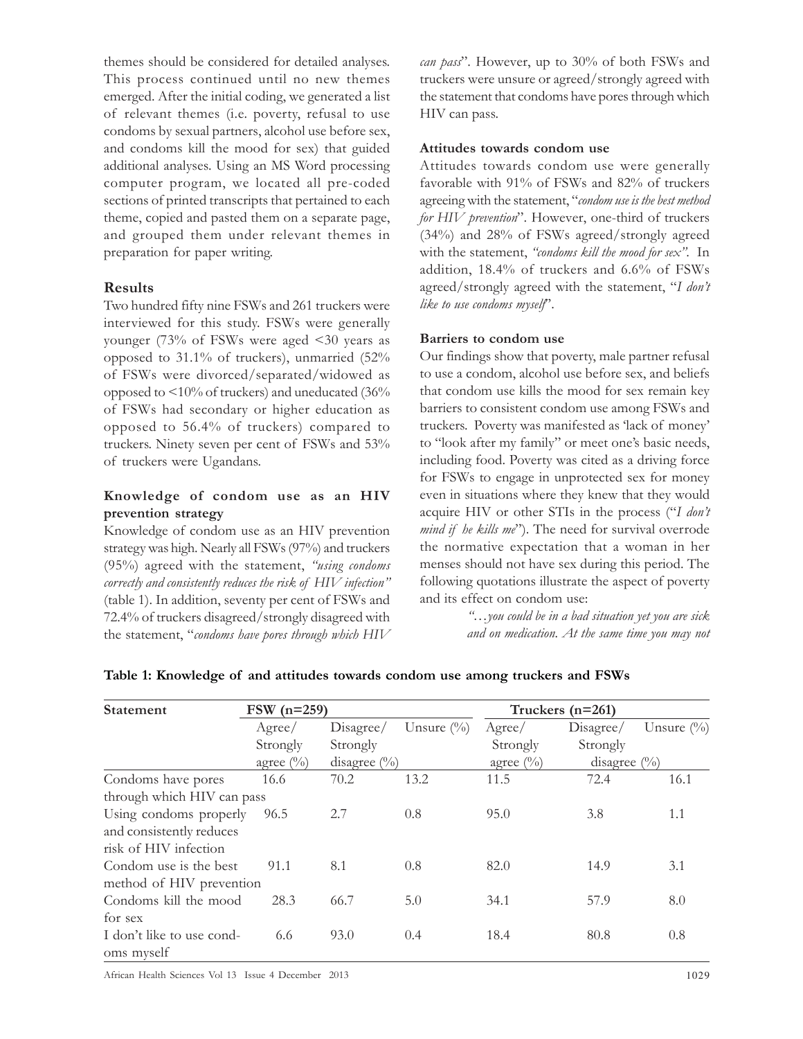themes should be considered for detailed analyses. This process continued until no new themes emerged. After the initial coding, we generated a list of relevant themes (i.e. poverty, refusal to use condoms by sexual partners, alcohol use before sex, and condoms kill the mood for sex) that guided additional analyses. Using an MS Word processing computer program, we located all pre-coded sections of printed transcripts that pertained to each theme, copied and pasted them on a separate page, and grouped them under relevant themes in preparation for paper writing.

#### Results

Two hundred fifty nine FSWs and 261 truckers were interviewed for this study. FSWs were generally younger (73% of FSWs were aged <30 years as opposed to 31.1% of truckers), unmarried (52% of FSWs were divorced/separated/widowed as opposed to <10% of truckers) and uneducated (36% of FSWs had secondary or higher education as opposed to 56.4% of truckers) compared to truckers. Ninety seven per cent of FSWs and 53% of truckers were Ugandans.

### Knowledge of condom use as an HIV prevention strategy

Knowledge of condom use as an HIV prevention strategy was high. Nearly all FSWs (97%) and truckers (95%) agreed with the statement, "using condoms correctly and consistently reduces the risk of HIV infection" (table 1). In addition, seventy per cent of FSWs and 72.4% of truckers disagreed/strongly disagreed with the statement, "condoms have pores through which HIV

can pass". However, up to 30% of both FSWs and truckers were unsure or agreed/strongly agreed with the statement that condoms have pores through which HIV can pass.

#### Attitudes towards condom use

Attitudes towards condom use were generally favorable with 91% of FSWs and 82% of truckers agreeing with the statement, "condom use is the best method for HIV prevention". However, one-third of truckers (34%) and 28% of FSWs agreed/strongly agreed with the statement, "condoms kill the mood for sex". In addition, 18.4% of truckers and 6.6% of FSWs agreed/strongly agreed with the statement, "I don't like to use condoms myself".

#### Barriers to condom use

Our findings show that poverty, male partner refusal to use a condom, alcohol use before sex, and beliefs that condom use kills the mood for sex remain key barriers to consistent condom use among FSWs and truckers. Poverty was manifested as 'lack of money' to "look after my family" or meet one's basic needs, including food. Poverty was cited as a driving force for FSWs to engage in unprotected sex for money even in situations where they knew that they would acquire HIV or other STIs in the process ("I don't mind if he kills me"). The need for survival overrode the normative expectation that a woman in her menses should not have sex during this period. The following quotations illustrate the aspect of poverty and its effect on condom use:

> "…you could be in a bad situation yet you are sick and on medication. At the same time you may not

| <b>Statement</b>           | $FSW (n=259)$            |                |                                   | Truckers $(n=261)$       |                 |               |
|----------------------------|--------------------------|----------------|-----------------------------------|--------------------------|-----------------|---------------|
|                            | Agree/                   | Disagree/      | Unsure $\left(\frac{0}{0}\right)$ | Agree/                   | Disagree/       | Unsure $(\%)$ |
|                            | Strongly<br>agree $(\%)$ | Strongly       |                                   | Strongly<br>agree $(\%)$ | Strongly        |               |
|                            |                          | disagree $(\%$ |                                   |                          | disagree $(\%)$ |               |
| Condoms have pores         | 16.6                     | 70.2           | 13.2                              | 11.5                     | 72.4            | 16.1          |
| through which HIV can pass |                          |                |                                   |                          |                 |               |
| Using condoms properly     | 96.5                     | 2.7            | 0.8                               | 95.0                     | 3.8             | 1.1           |
| and consistently reduces   |                          |                |                                   |                          |                 |               |
| risk of HIV infection      |                          |                |                                   |                          |                 |               |
| Condom use is the best     | 91.1                     | 8.1            | 0.8                               | 82.0                     | 14.9            | 3.1           |
| method of HIV prevention   |                          |                |                                   |                          |                 |               |
| Condoms kill the mood      | 28.3                     | 66.7           | 5.0                               | 34.1                     | 57.9            | 8.0           |
| for sex                    |                          |                |                                   |                          |                 |               |
| I don't like to use cond-  | 6.6                      | 93.0           | 0.4                               | 18.4                     | 80.8            | 0.8           |
| oms myself                 |                          |                |                                   |                          |                 |               |

#### Table 1: Knowledge of and attitudes towards condom use among truckers and FSWs

African Health Sciences Vol 13 Issue 4 December 2013 1029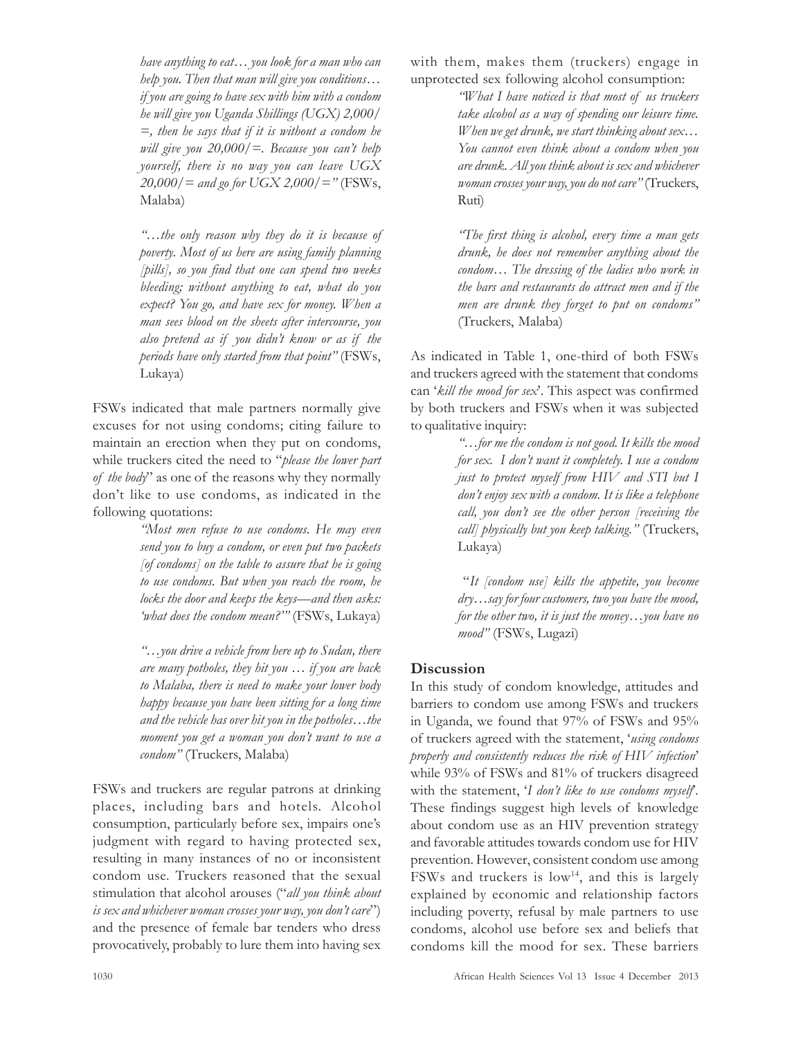have anything to eat… you look for a man who can help you. Then that man will give you conditions… if you are going to have sex with him with a condom he will give you Uganda Shillings (UGX) 2,000/  $=$ , then he says that if it is without a condom he will give you  $20,000/$  =. Because you can't help yourself, there is no way you can leave UGX  $20,000/$  = and go for UGX 2,000/ = " (FSWs, Malaba)

"…the only reason why they do it is because of poverty. Most of us here are using family planning [pills], so you find that one can spend two weeks bleeding; without anything to eat, what do you expect? You go, and have sex for money. When a man sees blood on the sheets after intercourse, you also pretend as if you didn't know or as if the periods have only started from that point" (FSWs, Lukaya)

FSWs indicated that male partners normally give excuses for not using condoms; citing failure to maintain an erection when they put on condoms, while truckers cited the need to "please the lower part of the body" as one of the reasons why they normally don't like to use condoms, as indicated in the following quotations:

> "Most men refuse to use condoms. He may even send you to buy a condom, or even put two packets  $[of\text{condoms}]$  on the table to assure that he is going to use condoms. But when you reach the room, he locks the door and keeps the keys—and then asks: 'what does the condom mean?'" (FSWs, Lukaya)

> "…you drive a vehicle from here up to Sudan, there are many potholes, they hit you  $\ldots$  if you are back to Malaba, there is need to make your lower body happy because you have been sitting for a long time and the vehicle has over hit you in the potholes…the moment you get a woman you don't want to use a condom" (Truckers, Malaba)

FSWs and truckers are regular patrons at drinking places, including bars and hotels. Alcohol consumption, particularly before sex, impairs one's judgment with regard to having protected sex, resulting in many instances of no or inconsistent condom use. Truckers reasoned that the sexual stimulation that alcohol arouses ("all you think about is sex and whichever woman crosses your way, you don't care") and the presence of female bar tenders who dress provocatively, probably to lure them into having sex

with them, makes them (truckers) engage in unprotected sex following alcohol consumption:

"What I have noticed is that most of us truckers take alcohol as a way of spending our leisure time. When we get drunk, we start thinking about sex... You cannot even think about a condom when you are drunk. All you think about is sex and whichever woman crosses your way, you do not care" (Truckers, Ruti)

"The first thing is alcohol, every time a man gets drunk, he does not remember anything about the condom… The dressing of the ladies who work in the bars and restaurants do attract men and if the men are drunk they forget to put on condoms" (Truckers, Malaba)

As indicated in Table 1, one-third of both FSWs and truckers agreed with the statement that condoms can 'kill the mood for sex'. This aspect was confirmed by both truckers and FSWs when it was subjected to qualitative inquiry:

> "…for me the condom is not good. It kills the mood for sex. I don't want it completely. I use a condom just to protect myself from HIV and STI but I don't enjoy sex with a condom. It is like a telephone call, you don't see the other person [receiving the call] physically but you keep talking." (Truckers, Lukaya)

> "It [condom use] kills the appetite, you become dry…say for four customers, two you have the mood, for the other two, it is just the money... you have no mood" (FSWs, Lugazi)

## **Discussion**

In this study of condom knowledge, attitudes and barriers to condom use among FSWs and truckers in Uganda, we found that 97% of FSWs and 95% of truckers agreed with the statement, 'using condoms properly and consistently reduces the risk of HIV infection' while 93% of FSWs and 81% of truckers disagreed with the statement, 'I don't like to use condoms myself. These findings suggest high levels of knowledge about condom use as an HIV prevention strategy and favorable attitudes towards condom use for HIV prevention. However, consistent condom use among FSWs and truckers is  $low<sup>14</sup>$ , and this is largely explained by economic and relationship factors including poverty, refusal by male partners to use condoms, alcohol use before sex and beliefs that condoms kill the mood for sex. These barriers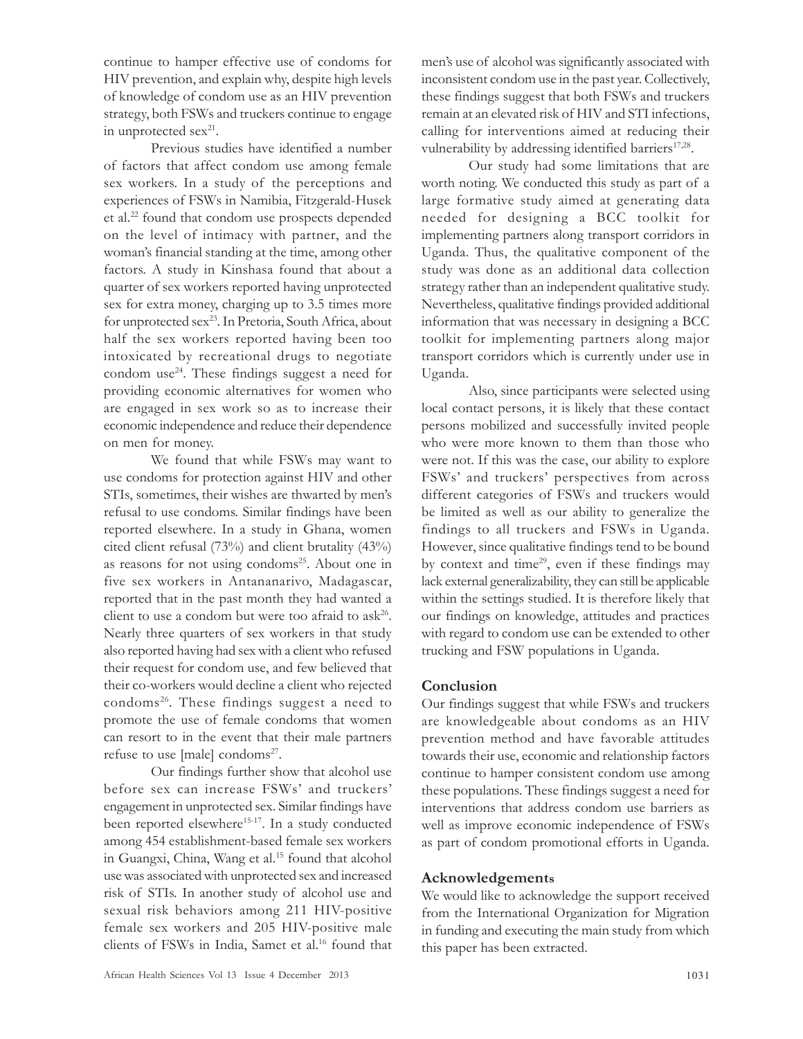continue to hamper effective use of condoms for HIV prevention, and explain why, despite high levels of knowledge of condom use as an HIV prevention strategy, both FSWs and truckers continue to engage in unprotected sex<sup>21</sup>.

Previous studies have identified a number of factors that affect condom use among female sex workers. In a study of the perceptions and experiences of FSWs in Namibia, Fitzgerald-Husek et al.<sup>22</sup> found that condom use prospects depended on the level of intimacy with partner, and the woman's financial standing at the time, among other factors. A study in Kinshasa found that about a quarter of sex workers reported having unprotected sex for extra money, charging up to 3.5 times more for unprotected sex<sup>23</sup>. In Pretoria, South Africa, about half the sex workers reported having been too intoxicated by recreational drugs to negotiate condom use<sup>24</sup>. These findings suggest a need for providing economic alternatives for women who are engaged in sex work so as to increase their economic independence and reduce their dependence on men for money.

We found that while FSWs may want to use condoms for protection against HIV and other STIs, sometimes, their wishes are thwarted by men's refusal to use condoms. Similar findings have been reported elsewhere. In a study in Ghana, women cited client refusal (73%) and client brutality (43%) as reasons for not using condoms<sup>25</sup>. About one in five sex workers in Antananarivo, Madagascar, reported that in the past month they had wanted a client to use a condom but were too afraid to ask<sup>26</sup>. Nearly three quarters of sex workers in that study also reported having had sex with a client who refused their request for condom use, and few believed that their co-workers would decline a client who rejected condoms<sup>26</sup>. These findings suggest a need to promote the use of female condoms that women can resort to in the event that their male partners refuse to use [male] condoms<sup>27</sup>.

Our findings further show that alcohol use before sex can increase FSWs' and truckers' engagement in unprotected sex. Similar findings have been reported elsewhere<sup>15-17</sup>. In a study conducted among 454 establishment-based female sex workers in Guangxi, China, Wang et al.<sup>15</sup> found that alcohol use was associated with unprotected sex and increased risk of STIs. In another study of alcohol use and sexual risk behaviors among 211 HIV-positive female sex workers and 205 HIV-positive male clients of FSWs in India, Samet et al.<sup>16</sup> found that men's use of alcohol was significantly associated with inconsistent condom use in the past year. Collectively, these findings suggest that both FSWs and truckers remain at an elevated risk of HIV and STI infections, calling for interventions aimed at reducing their vulnerability by addressing identified barriers<sup>17,28</sup>.

Our study had some limitations that are worth noting. We conducted this study as part of a large formative study aimed at generating data needed for designing a BCC toolkit for implementing partners along transport corridors in Uganda. Thus, the qualitative component of the study was done as an additional data collection strategy rather than an independent qualitative study. Nevertheless, qualitative findings provided additional information that was necessary in designing a BCC toolkit for implementing partners along major transport corridors which is currently under use in Uganda.

Also, since participants were selected using local contact persons, it is likely that these contact persons mobilized and successfully invited people who were more known to them than those who were not. If this was the case, our ability to explore FSWs' and truckers' perspectives from across different categories of FSWs and truckers would be limited as well as our ability to generalize the findings to all truckers and FSWs in Uganda. However, since qualitative findings tend to be bound by context and time<sup>29</sup>, even if these findings may lack external generalizability, they can still be applicable within the settings studied. It is therefore likely that our findings on knowledge, attitudes and practices with regard to condom use can be extended to other trucking and FSW populations in Uganda.

## Conclusion

Our findings suggest that while FSWs and truckers are knowledgeable about condoms as an HIV prevention method and have favorable attitudes towards their use, economic and relationship factors continue to hamper consistent condom use among these populations. These findings suggest a need for interventions that address condom use barriers as well as improve economic independence of FSWs as part of condom promotional efforts in Uganda.

#### Acknowledgements

We would like to acknowledge the support received from the International Organization for Migration in funding and executing the main study from which this paper has been extracted.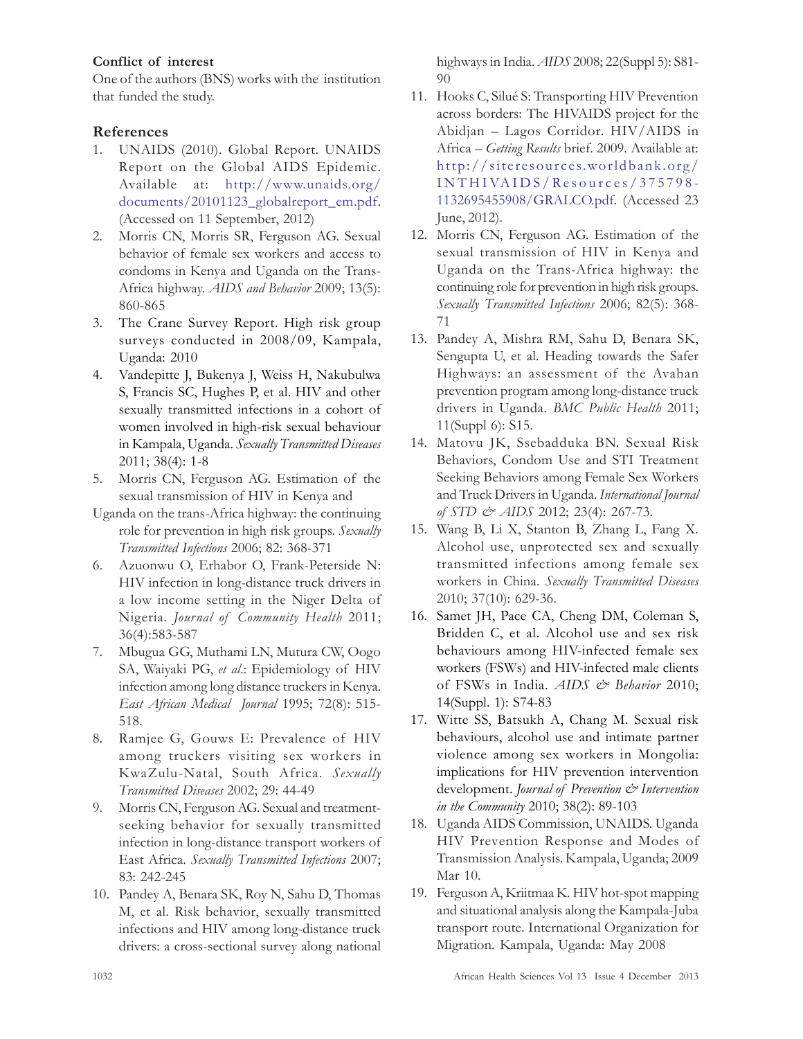## Conflict of interest

One of the authors (BNS) works with the institution that funded the study.

## References

- 1. UNAIDS (2010). Global Report. UNAIDS Report on the Global AIDS Epidemic. Available at: http://www.unaids.org/ documents/20101123\_globalreport\_em.pdf. (Accessed on 11 September, 2012)
- 2. Morris CN, Morris SR, Ferguson AG. Sexual behavior of female sex workers and access to condoms in Kenya and Uganda on the Trans-Africa highway. AIDS and Behavior 2009; 13(5): 860-865
- 3. The Crane Survey Report. High risk group surveys conducted in 2008/09, Kampala, Uganda: 2010
- 4. Vandepitte J, Bukenya J, Weiss H, Nakubulwa S, Francis SC, Hughes P, et al. HIV and other sexually transmitted infections in a cohort of women involved in high-risk sexual behaviour in Kampala, Uganda. Sexually Transmitted Diseases 2011; 38(4): 1-8
- 5. Morris CN, Ferguson AG. Estimation of the sexual transmission of HIV in Kenya and
- Uganda on the trans-Africa highway: the continuing role for prevention in high risk groups. Sexually Transmitted Infections 2006; 82: 368-371
- 6. Azuonwu O, Erhabor O, Frank-Peterside N: HIV infection in long-distance truck drivers in a low income setting in the Niger Delta of Nigeria. Journal of Community Health 2011; 36(4):583-587
- 7. Mbugua GG, Muthami LN, Mutura CW, Oogo SA, Waiyaki PG, et al.: Epidemiology of HIV infection among long distance truckers in Kenya. East African Medical Journal 1995; 72(8): 515- 518.
- 8. Ramjee G, Gouws E: Prevalence of HIV among truckers visiting sex workers in KwaZulu-Natal, South Africa. Sexually Transmitted Diseases 2002; 29: 44-49
- 9. Morris CN, Ferguson AG. Sexual and treatmentseeking behavior for sexually transmitted infection in long-distance transport workers of East Africa. Sexually Transmitted Infections 2007; 83: 242-245
- 10. Pandey A, Benara SK, Roy N, Sahu D, Thomas M, et al. Risk behavior, sexually transmitted infections and HIV among long-distance truck drivers: a cross-sectional survey along national

highways in India. AIDS 2008; 22(Suppl 5): S81- 90

- 11. Hooks C, Silué S: Transporting HIV Prevention across borders: The HIVAIDS project for the Abidjan – Lagos Corridor. HIV/AIDS in Africa – Getting Results brief. 2009. Available at: http://siteresources.worldbank.org/ INTHIVAIDS/Resour ces/375798- 1132695455908/GRALCO.pdf. (Accessed 23 June, 2012).
- 12. Morris CN, Ferguson AG. Estimation of the sexual transmission of HIV in Kenya and Uganda on the Trans-Africa highway: the continuing role for prevention in high risk groups. Sexually Transmitted Infections 2006; 82(5): 368- 71
- 13. Pandey A, Mishra RM, Sahu D, Benara SK, Sengupta U, et al. Heading towards the Safer Highways: an assessment of the Avahan prevention program among long-distance truck drivers in Uganda. BMC Public Health 2011; 11(Suppl 6): S15.
- 14. Matovu JK, Ssebadduka BN. Sexual Risk Behaviors, Condom Use and STI Treatment Seeking Behaviors among Female Sex Workers and Truck Drivers in Uganda. International Journal of STD & AIDS 2012; 23(4): 267-73.
- 15. Wang B, Li X, Stanton B, Zhang L, Fang X. Alcohol use, unprotected sex and sexually transmitted infections among female sex workers in China. Sexually Transmitted Diseases 2010; 37(10): 629-36.
- 16. Samet JH, Pace CA, Cheng DM, Coleman S, Bridden C, et al. Alcohol use and sex risk behaviours among HIV-infected female sex workers (FSWs) and HIV-infected male clients of FSWs in India. AIDS & Behavior 2010; 14(Suppl. 1): S74-83
- 17. Witte SS, Batsukh A, Chang M. Sexual risk behaviours, alcohol use and intimate partner violence among sex workers in Mongolia: implications for HIV prevention intervention development. Journal of Prevention & Intervention in the Community 2010; 38(2): 89-103
- 18. Uganda AIDS Commission, UNAIDS. Uganda HIV Prevention Response and Modes of Transmission Analysis. Kampala, Uganda; 2009 Mar 10.
- 19. Ferguson A, Kriitmaa K. HIV hot-spot mapping and situational analysis along the Kampala-Juba transport route. International Organization for Migration. Kampala, Uganda: May 2008